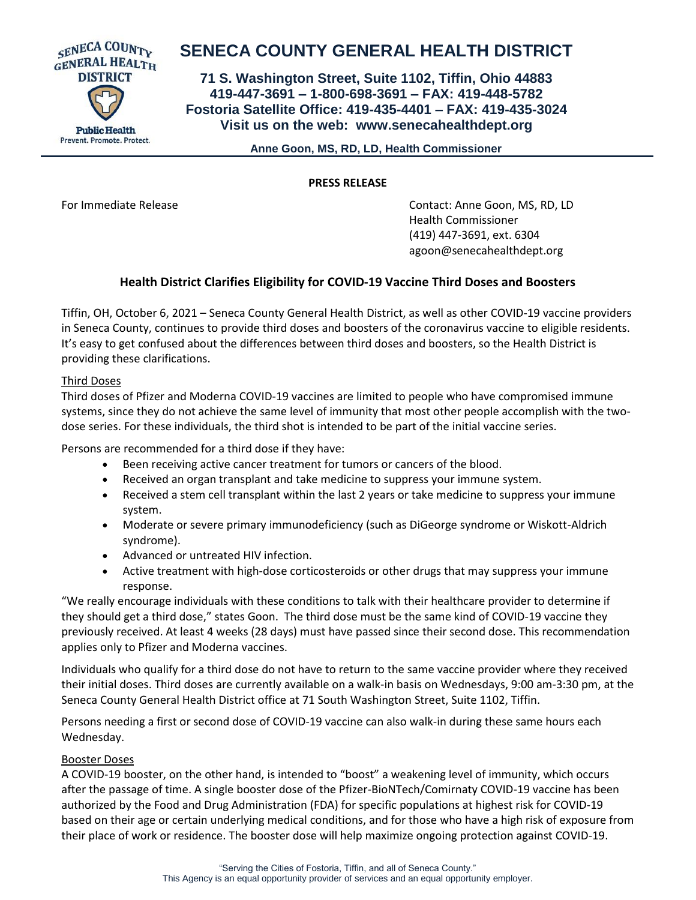

# **SENECA COUNTY GENERAL HEALTH DISTRICT**

**71 S. Washington Street, Suite 1102, Tiffin, Ohio 44883 419-447-3691 – 1-800-698-3691 – FAX: 419-448-5782 Fostoria Satellite Office: 419-435-4401 – FAX: 419-435-3024 Visit us on the web: [www.senecahealthdept.org](http://www.senecahealthdept.org/)**

 **Anne Goon, MS, RD, LD, Health Commissioner**

### **PRESS RELEASE**

For Immediate Release **Contact: Anne Goon, MS, RD, LD** Health Commissioner (419) 447-3691, ext. 6304 agoon@senecahealthdept.org

## **Health District Clarifies Eligibility for COVID-19 Vaccine Third Doses and Boosters**

Tiffin, OH, October 6, 2021 – Seneca County General Health District, as well as other COVID-19 vaccine providers in Seneca County, continues to provide third doses and boosters of the coronavirus vaccine to eligible residents. It's easy to get confused about the differences between third doses and boosters, so the Health District is providing these clarifications.

## Third Doses

Third doses of Pfizer and Moderna COVID-19 vaccines are limited to people who have compromised immune systems, since they do not achieve the same level of immunity that most other people accomplish with the twodose series. For these individuals, the third shot is intended to be part of the initial vaccine series.

Persons are recommended for a third dose if they have:

- Been receiving active cancer treatment for tumors or cancers of the blood.
- Received an organ transplant and take medicine to suppress your immune system.
- Received a stem cell transplant within the last 2 years or take medicine to suppress your immune system.
- Moderate or severe primary immunodeficiency (such as DiGeorge syndrome or Wiskott-Aldrich syndrome).
- Advanced or untreated HIV infection.
- Active treatment with high-dose corticosteroids or other drugs that may suppress your immune response.

"We really encourage individuals with these conditions to talk with their healthcare provider to determine if they should get a third dose," states Goon. The third dose must be the same kind of COVID-19 vaccine they previously received. At least 4 weeks (28 days) must have passed since their second dose. This recommendation applies only to Pfizer and Moderna vaccines.

Individuals who qualify for a third dose do not have to return to the same vaccine provider where they received their initial doses. Third doses are currently available on a walk-in basis on Wednesdays, 9:00 am-3:30 pm, at the Seneca County General Health District office at 71 South Washington Street, Suite 1102, Tiffin.

Persons needing a first or second dose of COVID-19 vaccine can also walk-in during these same hours each Wednesday.

### Booster Doses

A COVID-19 booster, on the other hand, is intended to "boost" a weakening level of immunity, which occurs after the passage of time. A single booster dose of the Pfizer-BioNTech/Comirnaty COVID-19 vaccine has been authorized by the Food and Drug Administration (FDA) for specific populations at highest risk for COVID-19 based on their age or certain underlying medical conditions, and for those who have a high risk of exposure from their place of work or residence. The booster dose will help maximize ongoing protection against COVID-19.